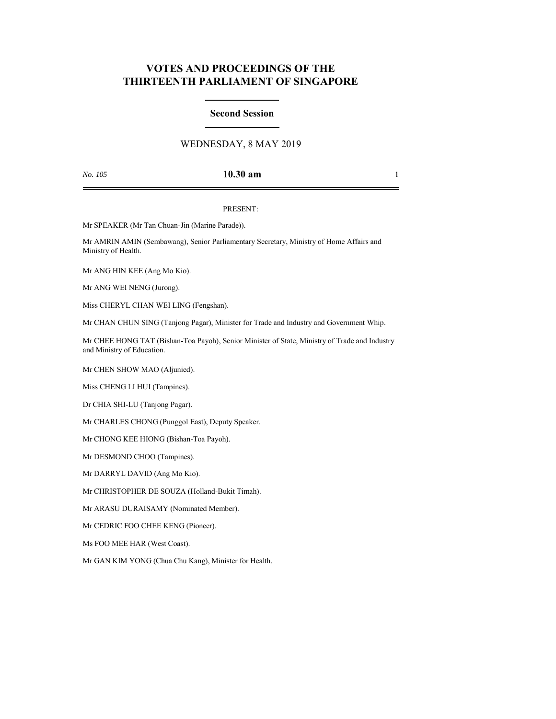# **VOTES AND PROCEEDINGS OF THE THIRTEENTH PARLIAMENT OF SINGAPORE**

## **Second Session**

# WEDNESDAY, 8 MAY 2019

# *No. 105* **10.30 am** 1

### PRESENT:

Mr SPEAKER (Mr Tan Chuan-Jin (Marine Parade)).

Mr AMRIN AMIN (Sembawang), Senior Parliamentary Secretary, Ministry of Home Affairs and Ministry of Health.

Mr ANG HIN KEE (Ang Mo Kio).

Mr ANG WEI NENG (Jurong).

Miss CHERYL CHAN WEI LING (Fengshan).

Mr CHAN CHUN SING (Tanjong Pagar), Minister for Trade and Industry and Government Whip.

Mr CHEE HONG TAT (Bishan-Toa Payoh), Senior Minister of State, Ministry of Trade and Industry and Ministry of Education.

Mr CHEN SHOW MAO (Aljunied).

Miss CHENG LI HUI (Tampines).

Dr CHIA SHI-LU (Tanjong Pagar).

Mr CHARLES CHONG (Punggol East), Deputy Speaker.

Mr CHONG KEE HIONG (Bishan-Toa Payoh).

Mr DESMOND CHOO (Tampines).

Mr DARRYL DAVID (Ang Mo Kio).

Mr CHRISTOPHER DE SOUZA (Holland-Bukit Timah).

Mr ARASU DURAISAMY (Nominated Member).

Mr CEDRIC FOO CHEE KENG (Pioneer).

Ms FOO MEE HAR (West Coast).

Mr GAN KIM YONG (Chua Chu Kang), Minister for Health.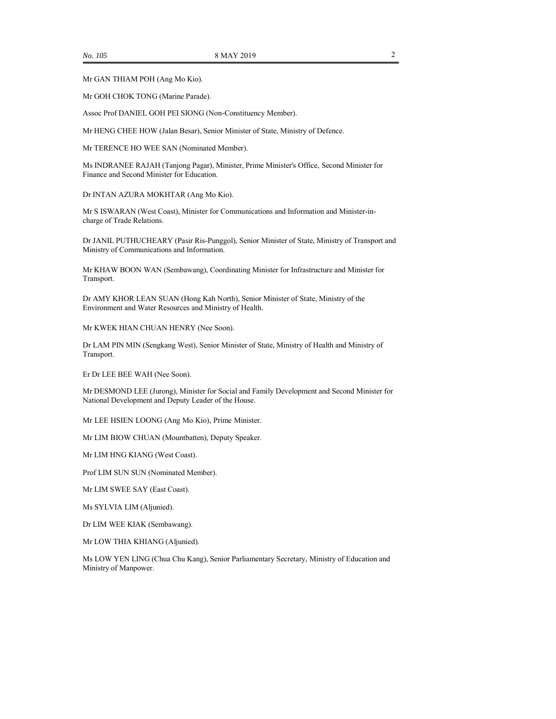Mr GAN THIAM POH (Ang Mo Kio).

Mr GOH CHOK TONG (Marine Parade).

Assoc Prof DANIEL GOH PEI SIONG (Non-Constituency Member).

Mr HENG CHEE HOW (Jalan Besar), Senior Minister of State, Ministry of Defence.

Mr TERENCE HO WEE SAN (Nominated Member).

Ms INDRANEE RAJAH (Tanjong Pagar), Minister, Prime Minister's Office, Second Minister for Finance and Second Minister for Education.

Dr INTAN AZURA MOKHTAR (Ang Mo Kio).

Mr S ISWARAN (West Coast), Minister for Communications and Information and Minister-incharge of Trade Relations.

Dr JANIL PUTHUCHEARY (Pasir Ris-Punggol), Senior Minister of State, Ministry of Transport and Ministry of Communications and Information.

Mr KHAW BOON WAN (Sembawang), Coordinating Minister for Infrastructure and Minister for Transport.

Dr AMY KHOR LEAN SUAN (Hong Kah North), Senior Minister of State, Ministry of the Environment and Water Resources and Ministry of Health.

Mr KWEK HIAN CHUAN HENRY (Nee Soon).

Dr LAM PIN MIN (Sengkang West), Senior Minister of State, Ministry of Health and Ministry of Transport.

Er Dr LEE BEE WAH (Nee Soon).

Mr DESMOND LEE (Jurong), Minister for Social and Family Development and Second Minister for National Development and Deputy Leader of the House.

Mr LEE HSIEN LOONG (Ang Mo Kio), Prime Minister.

Mr LIM BIOW CHUAN (Mountbatten), Deputy Speaker.

Mr LIM HNG KIANG (West Coast).

Prof LIM SUN SUN (Nominated Member).

Mr LIM SWEE SAY (East Coast).

Ms SYLVIA LIM (Aljunied).

Dr LIM WEE KIAK (Sembawang).

Mr LOW THIA KHIANG (Aljunied).

Ms LOW YEN LING (Chua Chu Kang), Senior Parliamentary Secretary, Ministry of Education and Ministry of Manpower.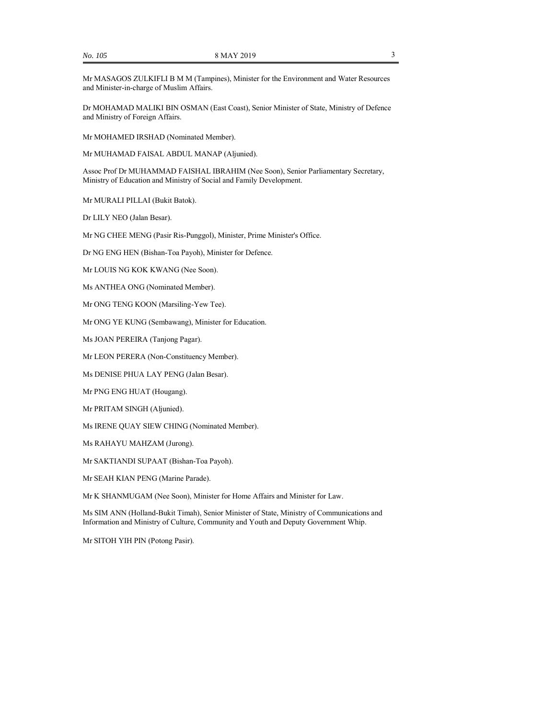Mr MASAGOS ZULKIFLI B M M (Tampines), Minister for the Environment and Water Resources and Minister-in-charge of Muslim Affairs.

Dr MOHAMAD MALIKI BIN OSMAN (East Coast), Senior Minister of State, Ministry of Defence and Ministry of Foreign Affairs.

Mr MOHAMED IRSHAD (Nominated Member).

Mr MUHAMAD FAISAL ABDUL MANAP (Aljunied).

Assoc Prof Dr MUHAMMAD FAISHAL IBRAHIM (Nee Soon), Senior Parliamentary Secretary, Ministry of Education and Ministry of Social and Family Development.

Mr MURALI PILLAI (Bukit Batok).

Dr LILY NEO (Jalan Besar).

Mr NG CHEE MENG (Pasir Ris-Punggol), Minister, Prime Minister's Office.

Dr NG ENG HEN (Bishan-Toa Payoh), Minister for Defence.

Mr LOUIS NG KOK KWANG (Nee Soon).

Ms ANTHEA ONG (Nominated Member).

Mr ONG TENG KOON (Marsiling-Yew Tee).

Mr ONG YE KUNG (Sembawang), Minister for Education.

Ms JOAN PEREIRA (Tanjong Pagar).

Mr LEON PERERA (Non-Constituency Member).

Ms DENISE PHUA LAY PENG (Jalan Besar).

Mr PNG ENG HUAT (Hougang).

Mr PRITAM SINGH (Aljunied).

Ms IRENE QUAY SIEW CHING (Nominated Member).

Ms RAHAYU MAHZAM (Jurong).

Mr SAKTIANDI SUPAAT (Bishan-Toa Payoh).

Mr SEAH KIAN PENG (Marine Parade).

Mr K SHANMUGAM (Nee Soon), Minister for Home Affairs and Minister for Law.

Ms SIM ANN (Holland-Bukit Timah), Senior Minister of State, Ministry of Communications and Information and Ministry of Culture, Community and Youth and Deputy Government Whip.

Mr SITOH YIH PIN (Potong Pasir).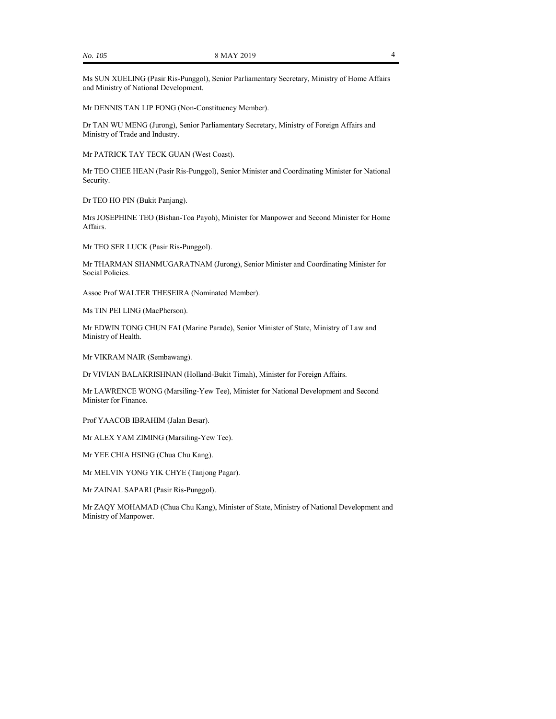Ms SUN XUELING (Pasir Ris-Punggol), Senior Parliamentary Secretary, Ministry of Home Affairs and Ministry of National Development.

Mr DENNIS TAN LIP FONG (Non-Constituency Member).

Dr TAN WU MENG (Jurong), Senior Parliamentary Secretary, Ministry of Foreign Affairs and Ministry of Trade and Industry.

Mr PATRICK TAY TECK GUAN (West Coast).

Mr TEO CHEE HEAN (Pasir Ris-Punggol), Senior Minister and Coordinating Minister for National Security.

Dr TEO HO PIN (Bukit Panjang).

Mrs JOSEPHINE TEO (Bishan-Toa Payoh), Minister for Manpower and Second Minister for Home Affairs.

Mr TEO SER LUCK (Pasir Ris-Punggol).

Mr THARMAN SHANMUGARATNAM (Jurong), Senior Minister and Coordinating Minister for Social Policies.

Assoc Prof WALTER THESEIRA (Nominated Member).

Ms TIN PEI LING (MacPherson).

Mr EDWIN TONG CHUN FAI (Marine Parade), Senior Minister of State, Ministry of Law and Ministry of Health.

Mr VIKRAM NAIR (Sembawang).

Dr VIVIAN BALAKRISHNAN (Holland-Bukit Timah), Minister for Foreign Affairs.

Mr LAWRENCE WONG (Marsiling-Yew Tee), Minister for National Development and Second Minister for Finance.

Prof YAACOB IBRAHIM (Jalan Besar).

Mr ALEX YAM ZIMING (Marsiling-Yew Tee).

Mr YEE CHIA HSING (Chua Chu Kang).

Mr MELVIN YONG YIK CHYE (Tanjong Pagar).

Mr ZAINAL SAPARI (Pasir Ris-Punggol).

Mr ZAQY MOHAMAD (Chua Chu Kang), Minister of State, Ministry of National Development and Ministry of Manpower.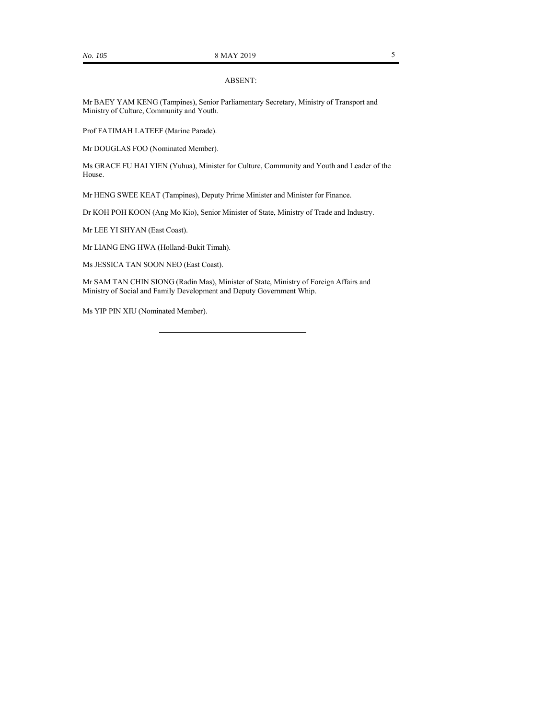## ABSENT:

Mr BAEY YAM KENG (Tampines), Senior Parliamentary Secretary, Ministry of Transport and Ministry of Culture, Community and Youth.

Prof FATIMAH LATEEF (Marine Parade).

Mr DOUGLAS FOO (Nominated Member).

Ms GRACE FU HAI YIEN (Yuhua), Minister for Culture, Community and Youth and Leader of the House.

Mr HENG SWEE KEAT (Tampines), Deputy Prime Minister and Minister for Finance.

Dr KOH POH KOON (Ang Mo Kio), Senior Minister of State, Ministry of Trade and Industry.

Mr LEE YI SHYAN (East Coast).

Mr LIANG ENG HWA (Holland-Bukit Timah).

Ms JESSICA TAN SOON NEO (East Coast).

Mr SAM TAN CHIN SIONG (Radin Mas), Minister of State, Ministry of Foreign Affairs and Ministry of Social and Family Development and Deputy Government Whip.

Ms YIP PIN XIU (Nominated Member).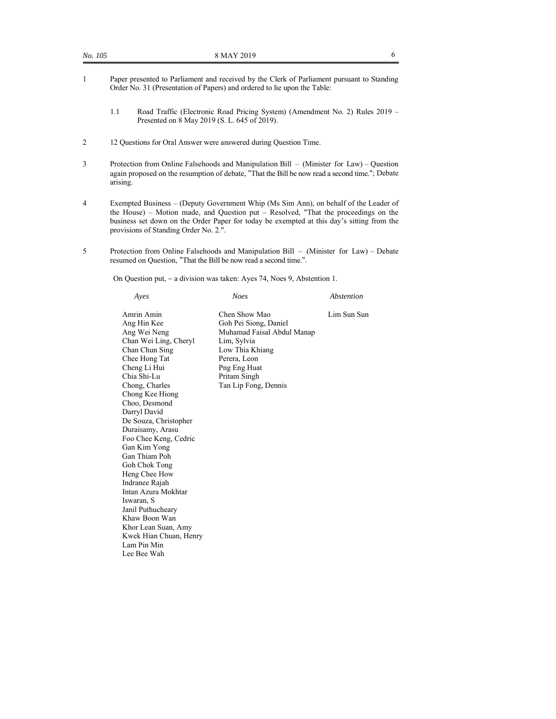- 1 Paper presented to Parliament and received by the Clerk of Parliament pursuant to Standing Order No. 31 (Presentation of Papers) and ordered to lie upon the Table:
	- 1.1 Road Traffic (Electronic Road Pricing System) (Amendment No. 2) Rules 2019 Presented on 8 May 2019 (S. L. 645 of 2019).
- 2 12 Questions for Oral Answer were answered during Question Time.
- 3 Protection from Online Falsehoods and Manipulation Bill (Minister for Law) Question again proposed on the resumption of debate, "That the Bill be now read a second time."; Debate arising.
- 4 Exempted Business (Deputy Government Whip (Ms Sim Ann), on behalf of the Leader of the House) – Motion made, and Question put – Resolved, "That the proceedings on the business set down on the Order Paper for today be exempted at this day's sitting from the provisions of Standing Order No. 2.".
- 5 Protection from Online Falsehoods and Manipulation Bill (Minister for Law) Debate resumed on Question, "That the Bill be now read a second time.".

On Question put, - a division was taken: Ayes 74, Noes 9, Abstention 1.

| Ayes                                                                                                                                                                                                                                                                                             | <b>Noes</b>                                                                                                                                                                    | Abstention  |
|--------------------------------------------------------------------------------------------------------------------------------------------------------------------------------------------------------------------------------------------------------------------------------------------------|--------------------------------------------------------------------------------------------------------------------------------------------------------------------------------|-------------|
| Amrin Amin<br>Ang Hin Kee<br>Ang Wei Neng<br>Chan Wei Ling, Cheryl<br>Chan Chun Sing<br>Chee Hong Tat<br>Cheng Li Hui<br>Chia Shi-Lu<br>Chong, Charles<br>Chong Kee Hiong<br>Choo, Desmond<br>Darryl David<br>De Souza, Christopher<br>Duraisamy, Arasu<br>Foo Chee Keng, Cedric<br>Gan Kim Yong | Chen Show Mao<br>Goh Pei Siong, Daniel<br>Muhamad Faisal Abdul Manap<br>Lim, Sylvia<br>Low Thia Khiang<br>Perera, Leon<br>Png Eng Huat<br>Pritam Singh<br>Tan Lip Fong, Dennis | Lim Sun Sun |
| Gan Thiam Poh<br>Goh Chok Tong<br>Heng Chee How<br>Indranee Rajah<br>Intan Azura Mokhtar<br>Iswaran, S<br>Janil Puthucheary<br>Khaw Boon Wan<br>Khor Lean Suan, Amy                                                                                                                              |                                                                                                                                                                                |             |
| Kwek Hian Chuan, Henry<br>Lam Pin Min<br>Lee Bee Wah                                                                                                                                                                                                                                             |                                                                                                                                                                                |             |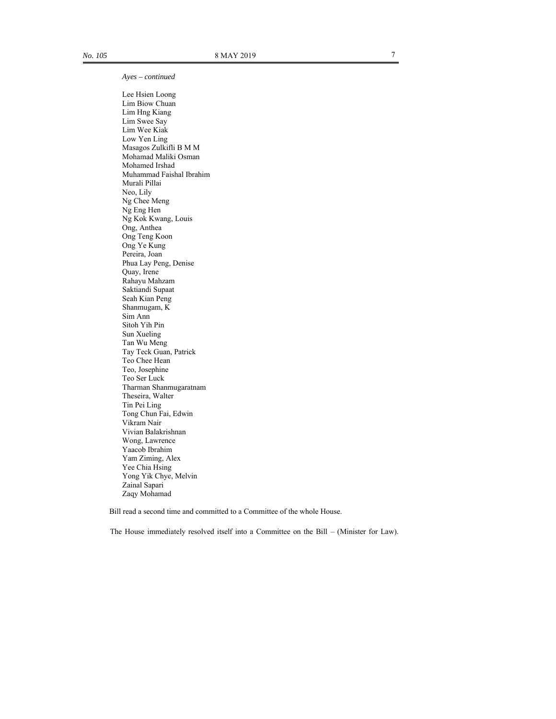*Ayes – continued* 

 Lee Hsien Loong Lim Biow Chuan Lim Hng Kiang Lim Swee Say Lim Wee Kiak Low Yen Ling Masagos Zulkifli B M M Mohamad Maliki Osman Mohamed Irshad Muhammad Faishal Ibrahim Murali Pillai Neo, Lily Ng Chee Meng Ng Eng Hen Ng Kok Kwang, Louis Ong, Anthea Ong Teng Koon Ong Ye Kung Pereira, Joan Phua Lay Peng, Denise Quay, Irene Rahayu Mahzam Saktiandi Supaat Seah Kian Peng Shanmugam, K Sim Ann Sitoh Yih Pin Sun Xueling Tan Wu Meng Tay Teck Guan, Patrick Teo Chee Hean Teo, Josephine Teo Ser Luck Tharman Shanmugaratnam Theseira, Walter Tin Pei Ling Tong Chun Fai, Edwin Vikram Nair Vivian Balakrishnan Wong, Lawrence Yaacob Ibrahim Yam Ziming, Alex Yee Chia Hsing Yong Yik Chye, Melvin Zainal Sapari Zaqy Mohamad

Bill read a second time and committed to a Committee of the whole House.

The House immediately resolved itself into a Committee on the Bill – (Minister for Law).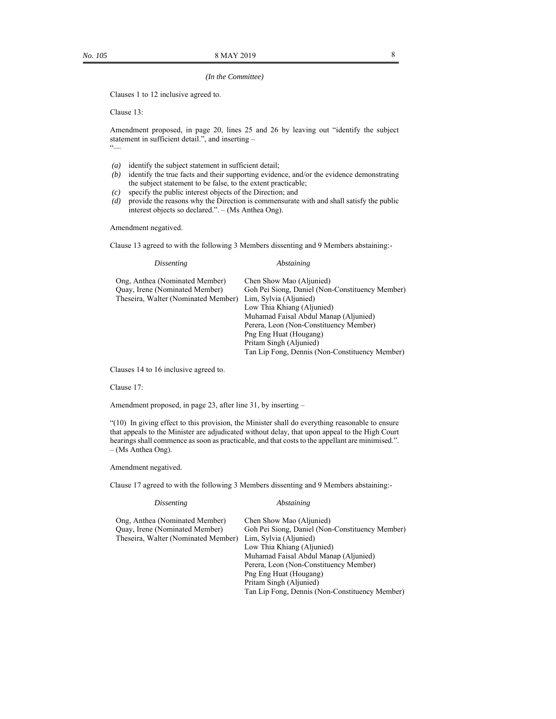#### *(In the Committee)*

Clauses 1 to 12 inclusive agreed to.

Clause 13:

Amendment proposed, in page 20, lines 25 and 26 by leaving out "identify the subject statement in sufficient detail.", and inserting –  $\alpha$ 

- *(a)* identify the subject statement in sufficient detail;
- *(b)* identify the true facts and their supporting evidence, and/or the evidence demonstrating the subject statement to be false, to the extent practicable;
- *(c)* specify the public interest objects of the Direction; and
- *(d)* provide the reasons why the Direction is commensurate with and shall satisfy the public interest objects so declared.". – (Ms Anthea Ong).

Amendment negatived.

Clause 13 agreed to with the following 3 Members dissenting and 9 Members abstaining:-

| Abstaining                                      |
|-------------------------------------------------|
| Chen Show Mao (Aljunied)                        |
| Goh Pei Siong, Daniel (Non-Constituency Member) |
| Lim, Sylvia (Aljunied)                          |
| Low Thia Khiang (Aljunied)                      |
| Muhamad Faisal Abdul Manap (Aljunied)           |
| Perera, Leon (Non-Constituency Member)          |
| Png Eng Huat (Hougang)                          |
| Pritam Singh (Aljunied)                         |
| Tan Lip Fong, Dennis (Non-Constituency Member)  |
|                                                 |

Clauses 14 to 16 inclusive agreed to.

#### Clause 17:

Amendment proposed, in page 23, after line 31, by inserting –

"(10) In giving effect to this provision, the Minister shall do everything reasonable to ensure that appeals to the Minister are adjudicated without delay, that upon appeal to the High Court hearings shall commence as soon as practicable, and that costs to the appellant are minimised.". – (Ms Anthea Ong).

#### Amendment negatived.

Clause 17 agreed to with the following 3 Members dissenting and 9 Members abstaining:-

 *Dissenting Abstaining* 

| Ong, Anthea (Nominated Member)        | Chen Show Mao (Aljunied)                        |
|---------------------------------------|-------------------------------------------------|
| <b>Ouay, Irene (Nominated Member)</b> | Goh Pei Siong, Daniel (Non-Constituency Member) |
| Theseira, Walter (Nominated Member)   | Lim, Sylvia (Aljunied)                          |
|                                       | Low Thia Khiang (Aljunied)                      |
|                                       | Muhamad Faisal Abdul Manap (Aljunied)           |
|                                       | Perera, Leon (Non-Constituency Member)          |
|                                       | Png Eng Huat (Hougang)                          |
|                                       | Pritam Singh (Aljunied)                         |
|                                       | Tan Lip Fong, Dennis (Non-Constituency Member)  |
|                                       |                                                 |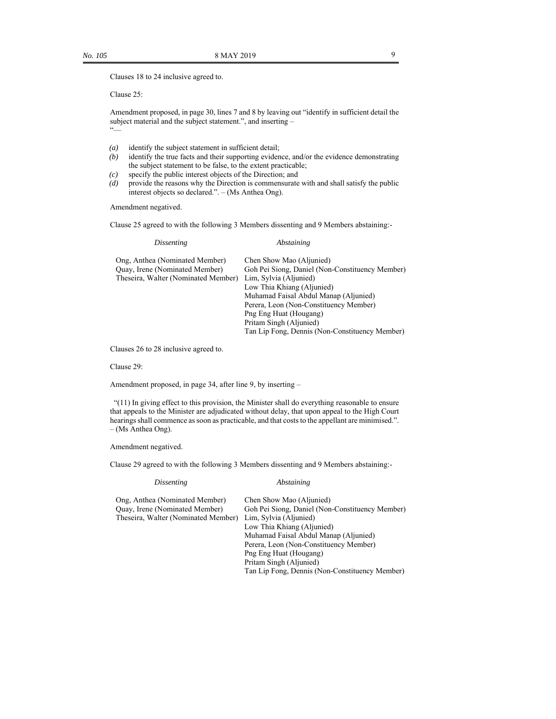Clauses 18 to 24 inclusive agreed to.

Clause 25:

Amendment proposed, in page 30, lines 7 and 8 by leaving out "identify in sufficient detail the subject material and the subject statement.", and inserting – "—

- *(a)* identify the subject statement in sufficient detail;
- *(b)* identify the true facts and their supporting evidence, and/or the evidence demonstrating the subject statement to be false, to the extent practicable;
- *(c)* specify the public interest objects of the Direction; and
- *(d)* provide the reasons why the Direction is commensurate with and shall satisfy the public interest objects so declared.". – (Ms Anthea Ong).

Amendment negatived.

Clause 25 agreed to with the following 3 Members dissenting and 9 Members abstaining:-

 *Dissenting Abstaining* 

| Ong, Anthea (Nominated Member)        | Chen Show Mao (Aljunied)                        |
|---------------------------------------|-------------------------------------------------|
| <b>Ouay, Irene (Nominated Member)</b> | Goh Pei Siong, Daniel (Non-Constituency Member) |
| Theseira, Walter (Nominated Member)   | Lim, Sylvia (Aljunied)                          |
|                                       | Low Thia Khiang (Aljunied)                      |
|                                       | Muhamad Faisal Abdul Manap (Aljunied)           |
|                                       | Perera, Leon (Non-Constituency Member)          |
|                                       | Png Eng Huat (Hougang)                          |
|                                       | Pritam Singh (Aljunied)                         |
|                                       | Tan Lip Fong, Dennis (Non-Constituency Member)  |
|                                       |                                                 |

Clauses 26 to 28 inclusive agreed to.

Clause 29:

Amendment proposed, in page 34, after line 9, by inserting –

 "(11) In giving effect to this provision, the Minister shall do everything reasonable to ensure that appeals to the Minister are adjudicated without delay, that upon appeal to the High Court hearings shall commence as soon as practicable, and that costs to the appellant are minimised.". – (Ms Anthea Ong).

Amendment negatived.

Clause 29 agreed to with the following 3 Members dissenting and 9 Members abstaining:-

 *Dissenting Abstaining* 

| Ong, Anthea (Nominated Member)      | Chen Show Mao (Aljunied)                        |
|-------------------------------------|-------------------------------------------------|
| Quay, Irene (Nominated Member)      | Goh Pei Siong, Daniel (Non-Constituency Member) |
| Theseira, Walter (Nominated Member) | Lim, Sylvia (Aljunied)                          |
|                                     | Low Thia Khiang (Aljunied)                      |
|                                     | Muhamad Faisal Abdul Manap (Aljunied)           |
|                                     | Perera, Leon (Non-Constituency Member)          |
|                                     | Png Eng Huat (Hougang)                          |
|                                     | Pritam Singh (Aljunied)                         |
|                                     | Tan Lip Fong, Dennis (Non-Constituency Member)  |
|                                     |                                                 |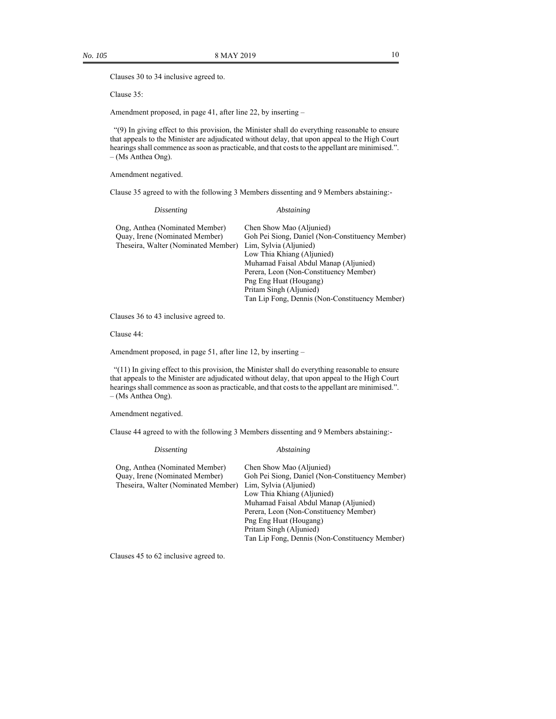Clauses 30 to 34 inclusive agreed to.

Clause 35:

Amendment proposed, in page 41, after line 22, by inserting –

 "(9) In giving effect to this provision, the Minister shall do everything reasonable to ensure that appeals to the Minister are adjudicated without delay, that upon appeal to the High Court hearings shall commence as soon as practicable, and that costs to the appellant are minimised.". – (Ms Anthea Ong).

Amendment negatived.

Clause 35 agreed to with the following 3 Members dissenting and 9 Members abstaining:-

| <i>Dissenting</i>                                                            | Abstaining                                                                |
|------------------------------------------------------------------------------|---------------------------------------------------------------------------|
| Ong, Anthea (Nominated Member)                                               | Chen Show Mao (Aljunied)                                                  |
| <b>Ouay, Irene (Nominated Member)</b><br>Theseira, Walter (Nominated Member) | Goh Pei Siong, Daniel (Non-Constituency Member)<br>Lim, Sylvia (Aljunied) |
|                                                                              | Low Thia Khiang (Aljunied)                                                |
|                                                                              | Muhamad Faisal Abdul Manap (Aljunied)                                     |
|                                                                              | Perera, Leon (Non-Constituency Member)                                    |
|                                                                              | Png Eng Huat (Hougang)                                                    |
|                                                                              | Pritam Singh (Aljunied)                                                   |
|                                                                              | Tan Lip Fong, Dennis (Non-Constituency Member)                            |

Clauses 36 to 43 inclusive agreed to.

Clause 44:

Amendment proposed, in page 51, after line 12, by inserting –

 "(11) In giving effect to this provision, the Minister shall do everything reasonable to ensure that appeals to the Minister are adjudicated without delay, that upon appeal to the High Court hearings shall commence as soon as practicable, and that costs to the appellant are minimised.". – (Ms Anthea Ong).

Amendment negatived.

Clause 44 agreed to with the following 3 Members dissenting and 9 Members abstaining:-

| <i>Dissenting</i>                     | Abstaining                                      |
|---------------------------------------|-------------------------------------------------|
| Ong, Anthea (Nominated Member)        | Chen Show Mao (Aljunied)                        |
| <b>Ouay, Irene (Nominated Member)</b> | Goh Pei Siong, Daniel (Non-Constituency Member) |
| Theseira, Walter (Nominated Member)   | Lim, Sylvia (Aljunied)                          |
|                                       | Low Thia Khiang (Aljunied)                      |
|                                       | Muhamad Faisal Abdul Manap (Aljunied)           |
|                                       | Perera, Leon (Non-Constituency Member)          |
|                                       | Png Eng Huat (Hougang)                          |
|                                       | Pritam Singh (Aljunied)                         |
|                                       | Tan Lip Fong, Dennis (Non-Constituency Member)  |
|                                       |                                                 |

Clauses 45 to 62 inclusive agreed to.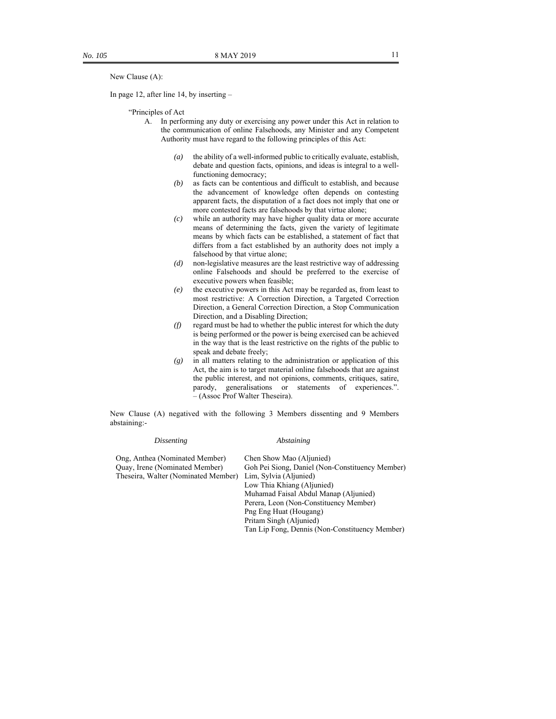New Clause (A):

In page 12, after line 14, by inserting –

"Principles of Act

- A. In performing any duty or exercising any power under this Act in relation to the communication of online Falsehoods, any Minister and any Competent Authority must have regard to the following principles of this Act:
	- *(a)* the ability of a well-informed public to critically evaluate, establish, debate and question facts, opinions, and ideas is integral to a wellfunctioning democracy;
	- *(b)* as facts can be contentious and difficult to establish, and because the advancement of knowledge often depends on contesting apparent facts, the disputation of a fact does not imply that one or more contested facts are falsehoods by that virtue alone;
	- *(c)* while an authority may have higher quality data or more accurate means of determining the facts, given the variety of legitimate means by which facts can be established, a statement of fact that differs from a fact established by an authority does not imply a falsehood by that virtue alone;
	- *(d)* non-legislative measures are the least restrictive way of addressing online Falsehoods and should be preferred to the exercise of executive powers when feasible;
	- *(e)* the executive powers in this Act may be regarded as, from least to most restrictive: A Correction Direction, a Targeted Correction Direction, a General Correction Direction, a Stop Communication Direction, and a Disabling Direction;
	- *(f)* regard must be had to whether the public interest for which the duty is being performed or the power is being exercised can be achieved in the way that is the least restrictive on the rights of the public to speak and debate freely;
	- *(g)* in all matters relating to the administration or application of this Act, the aim is to target material online falsehoods that are against the public interest, and not opinions, comments, critiques, satire, parody, generalisations or statements of experiences.". – (Assoc Prof Walter Theseira).

New Clause (A) negatived with the following 3 Members dissenting and 9 Members abstaining:-

| <i>Dissenting</i>                   | Abstaining                                      |
|-------------------------------------|-------------------------------------------------|
| Ong, Anthea (Nominated Member)      | Chen Show Mao (Aljunied)                        |
| Quay, Irene (Nominated Member)      | Goh Pei Siong, Daniel (Non-Constituency Member) |
| Theseira, Walter (Nominated Member) | Lim, Sylvia (Aljunied)                          |
|                                     | Low Thia Khiang (Aljunied)                      |
|                                     | Muhamad Faisal Abdul Manap (Aljunied)           |
|                                     | Perera, Leon (Non-Constituency Member)          |
|                                     | Png Eng Huat (Hougang)                          |
|                                     | Pritam Singh (Aljunied)                         |
|                                     | Tan Lip Fong, Dennis (Non-Constituency Member)  |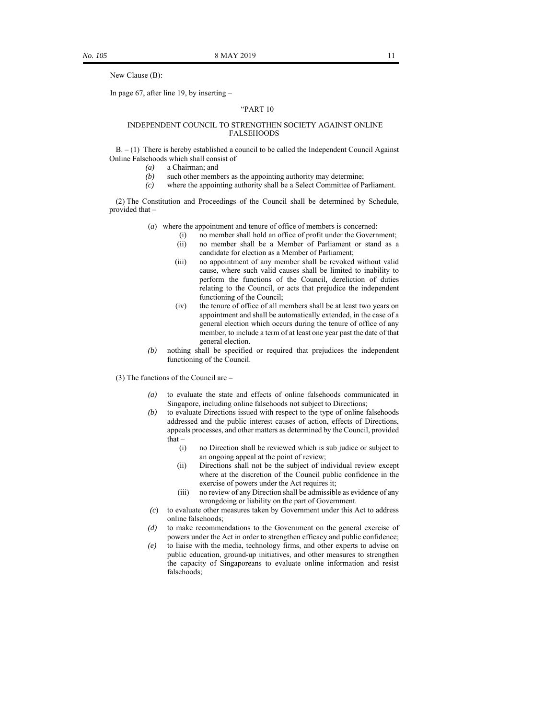New Clause (B):

In page 67, after line 19, by inserting –

#### "PART 10

#### INDEPENDENT COUNCIL TO STRENGTHEN SOCIETY AGAINST ONLINE FALSEHOODS

 $B. - (1)$  There is hereby established a council to be called the Independent Council Against Online Falsehoods which shall consist of

- *(a)* a Chairman; and
- *(b)* such other members as the appointing authority may determine;
- *(c)* where the appointing authority shall be a Select Committee of Parliament.

(2) The Constitution and Proceedings of the Council shall be determined by Schedule, provided that –

- (*a*) where the appointment and tenure of office of members is concerned:
	- (i) no member shall hold an office of profit under the Government;
		- (ii) no member shall be a Member of Parliament or stand as a candidate for election as a Member of Parliament;
		- (iii) no appointment of any member shall be revoked without valid cause, where such valid causes shall be limited to inability to perform the functions of the Council, dereliction of duties relating to the Council, or acts that prejudice the independent functioning of the Council;
		- (iv) the tenure of office of all members shall be at least two years on appointment and shall be automatically extended, in the case of a general election which occurs during the tenure of office of any member, to include a term of at least one year past the date of that general election.
- *(b)* nothing shall be specified or required that prejudices the independent functioning of the Council.
- (3) The functions of the Council are
	- *(a)* to evaluate the state and effects of online falsehoods communicated in Singapore, including online falsehoods not subject to Directions;
	- *(b)* to evaluate Directions issued with respect to the type of online falsehoods addressed and the public interest causes of action, effects of Directions, appeals processes, and other matters as determined by the Council, provided that –
		- (i) no Direction shall be reviewed which is sub judice or subject to an ongoing appeal at the point of review;
		- (ii) Directions shall not be the subject of individual review except where at the discretion of the Council public confidence in the exercise of powers under the Act requires it;
		- (iii) no review of any Direction shall be admissible as evidence of any wrongdoing or liability on the part of Government.
	- *(c*) to evaluate other measures taken by Government under this Act to address online falsehoods;
	- *(d)* to make recommendations to the Government on the general exercise of powers under the Act in order to strengthen efficacy and public confidence;
	- *(e)* to liaise with the media, technology firms, and other experts to advise on public education, ground-up initiatives, and other measures to strengthen the capacity of Singaporeans to evaluate online information and resist falsehoods;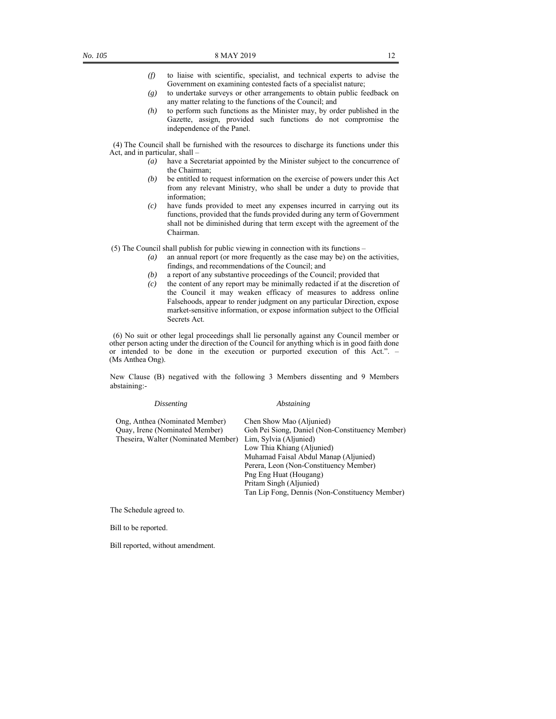- *(f)* to liaise with scientific, specialist, and technical experts to advise the Government on examining contested facts of a specialist nature;
- *(g)* to undertake surveys or other arrangements to obtain public feedback on any matter relating to the functions of the Council; and
- *(h)* to perform such functions as the Minister may, by order published in the Gazette, assign, provided such functions do not compromise the independence of the Panel.

 (4) The Council shall be furnished with the resources to discharge its functions under this Act, and in particular, shall –

- *(a)* have a Secretariat appointed by the Minister subject to the concurrence of the Chairman;
- *(b)* be entitled to request information on the exercise of powers under this Act from any relevant Ministry, who shall be under a duty to provide that information;
- *(c)* have funds provided to meet any expenses incurred in carrying out its functions, provided that the funds provided during any term of Government shall not be diminished during that term except with the agreement of the Chairman.

(5) The Council shall publish for public viewing in connection with its functions –

- *(a)* an annual report (or more frequently as the case may be) on the activities, findings, and recommendations of the Council; and
- *(b)* a report of any substantive proceedings of the Council; provided that
- *(c)* the content of any report may be minimally redacted if at the discretion of the Council it may weaken efficacy of measures to address online Falsehoods, appear to render judgment on any particular Direction, expose market-sensitive information, or expose information subject to the Official Secrets Act.

 (6) No suit or other legal proceedings shall lie personally against any Council member or other person acting under the direction of the Council for anything which is in good faith done or intended to be done in the execution or purported execution of this Act.". – (Ms Anthea Ong).

New Clause (B) negatived with the following 3 Members dissenting and 9 Members abstaining:-

 *Dissenting Abstaining* 

| Ong, Anthea (Nominated Member)      | Chen Show Mao (Aljunied)                        |
|-------------------------------------|-------------------------------------------------|
| Quay, Irene (Nominated Member)      | Goh Pei Siong, Daniel (Non-Constituency Member) |
| Theseira, Walter (Nominated Member) | Lim, Sylvia (Aljunied)                          |
|                                     | Low Thia Khiang (Aljunied)                      |
|                                     | Muhamad Faisal Abdul Manap (Aljunied)           |
|                                     | Perera, Leon (Non-Constituency Member)          |
|                                     | Png Eng Huat (Hougang)                          |
|                                     | Pritam Singh (Aljunied)                         |
|                                     | Tan Lip Fong, Dennis (Non-Constituency Member)  |
|                                     |                                                 |

The Schedule agreed to.

Bill to be reported.

Bill reported, without amendment.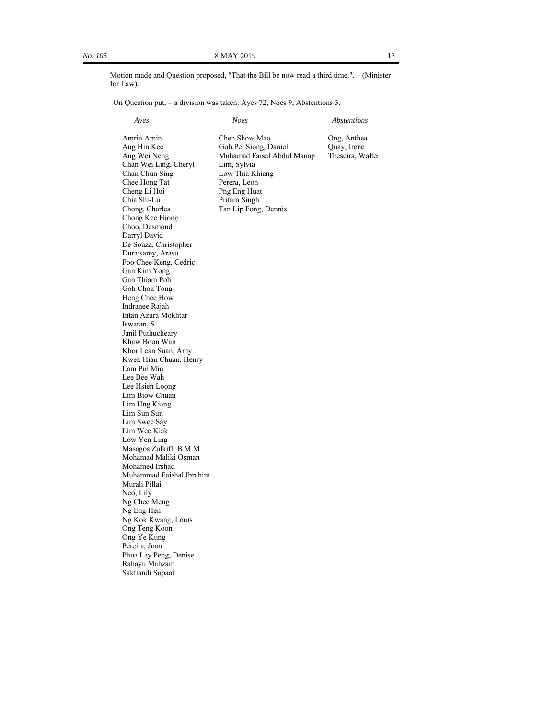Motion made and Question proposed, "That the Bill be now read a third time.". – (Minister for Law).

On Question put, a division was taken: Ayes 72, Noes 9, Abstentions 3.

 *Ayes Noes Abstentions* 

Amrin Amin Chen Show Mao Ong, Anthea<br>
Ang Hin Kee Goh Pei Siong, Daniel Ouay, Irene Goh Pei Siong, Daniel Ang Wei Neng Muhamad Faisal Abdul Manap Theseira, Walter Chan Wei Ling, Cheryl Lim, Sylvia Low Thia Khiang Chee Hong Tat Perera, Leon Cheng Li Hui Png Eng Huat Chia Shi-Lu Pritam Singh Chong, Charles Tan Lip Fong, Dennis Chong Kee Hiong Choo, Desmond Darryl David De Souza, Christopher Duraisamy, Arasu Foo Chee Keng, Cedric Gan Kim Yong Gan Thiam Poh Goh Chok Tong Heng Chee How Indranee Rajah Intan Azura Mokhtar Iswaran, S Janil Puthucheary Khaw Boon Wan Khor Lean Suan, Amy Kwek Hian Chuan, Henry Lam Pin Min Lee Bee Wah Lee Hsien Loong Lim Biow Chuan Lim Hng Kiang Lim Sun Sun Lim Swee Say Lim Wee Kiak Low Yen Ling Masagos Zulkifli B M M Mohamad Maliki Osman Mohamed Irshad Muhammad Faishal Ibrahim Murali Pillai Neo, Lily Ng Chee Meng Ng Eng Hen Ng Kok Kwang, Louis Ong Teng Koon Ong Ye Kung Pereira, Joan Phua Lay Peng, Denise Rahayu Mahzam Saktiandi Supaat